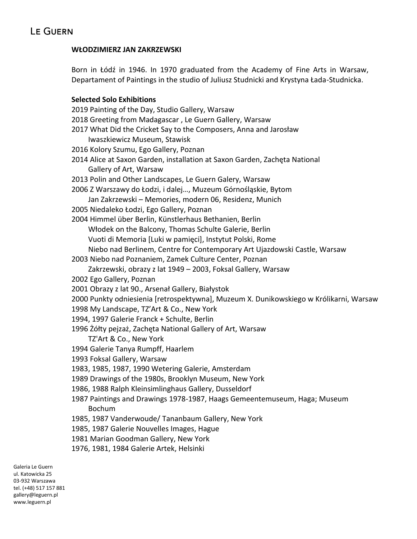### **WŁODZIMIERZ JAN ZAKRZEWSKI**

Born in Łódź in 1946. In 1970 graduated from the Academy of Fine Arts in Warsaw, Departament of Paintings in the studio of Juliusz Studnicki and Krystyna Łada-Studnicka.

### **Selected Solo Exhibitions**

2019 Painting of the Day, Studio Gallery, Warsaw 2018 Greeting from Madagascar , Le Guern Gallery, Warsaw 2017 What Did the Cricket Say to the Composers, Anna and Jarosław Iwaszkiewicz Museum, Stawisk 2016 Kolory Szumu, Ego Gallery, Poznan 2014 Alice at Saxon Garden, installation at Saxon Garden, Zachęta National Gallery of Art, Warsaw 2013 Polin and Other Landscapes, Le Guern Galery, Warsaw 2006 Z Warszawy do Łodzi, i dalej…, Muzeum Górnośląskie, Bytom Jan Zakrzewski – Memories, modern 06, Residenz, Munich 2005 Niedaleko Łodzi, Ego Gallery, Poznan 2004 Himmel über Berlin, Künstlerhaus Bethanien, Berlin Włodek on the Balcony, Thomas Schulte Galerie, Berlin Vuoti di Memoria [Luki w pamięci], Instytut Polski, Rome Niebo nad Berlinem, Centre for Contemporary Art Ujazdowski Castle, Warsaw 2003 Niebo nad Poznaniem, Zamek Culture Center, Poznan Zakrzewski, obrazy z lat 1949 – 2003, Foksal Gallery, Warsaw 2002 Ego Gallery, Poznan 2001 Obrazy z lat 90., Arsenał Gallery, Białystok 2000 Punkty odniesienia [retrospektywna], Muzeum X. Dunikowskiego w Królikarni, Warsaw 1998 My Landscape, TZ'Art & Co., New York 1994, 1997 Galerie Franck + Schulte, Berlin 1996 Żółty pejzaż, Zachęta National Gallery of Art, Warsaw TZ'Art & Co., New York 1994 Galerie Tanya Rumpff, Haarlem 1993 Foksal Gallery, Warsaw 1983, 1985, 1987, 1990 Wetering Galerie, Amsterdam 1989 Drawings of the 1980s, Brooklyn Museum, New York 1986, 1988 Ralph Kleinsimlinghaus Gallery, Dusseldorf 1987 Paintings and Drawings 1978-1987, Haags Gemeentemuseum, Haga; Museum Bochum 1985, 1987 Vanderwoude/ Tananbaum Gallery, New York 1985, 1987 Galerie Nouvelles Images, Hague 1981 Marian Goodman Gallery, New York

1976, 1981, 1984 Galerie Artek, Helsinki

Galeria Le Guern ul. Katowicka 25 03-932 Warszawa tel. (+48) 517 157 881 gallery@leguern.pl www.leguern.pl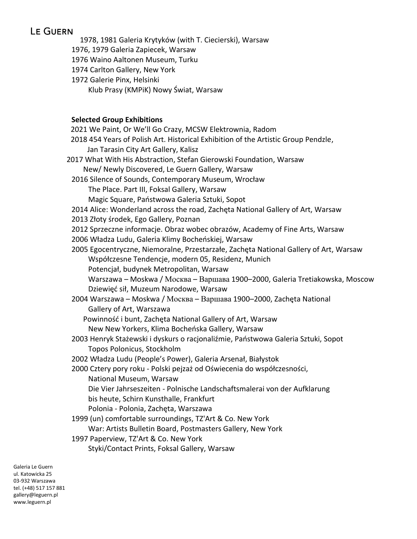# **LE GUERN**

1978, 1981 Galeria Krytyków (with T. Ciecierski), Warsaw 1976, 1979 Galeria Zapiecek, Warsaw 1976 Waino Aaltonen Museum, Turku 1974 Carlton Gallery, New York 1972 Galerie Pinx, Helsinki Klub Prasy (KMPiK) Nowy Świat, Warsaw **Selected Group Exhibitions**

| 2021 We Paint, Or We'll Go Crazy, MCSW Elektrownia, Radom                             |
|---------------------------------------------------------------------------------------|
| 2018 454 Years of Polish Art. Historical Exhibition of the Artistic Group Pendzle,    |
| Jan Tarasin City Art Gallery, Kalisz                                                  |
| 2017 What With His Abstraction, Stefan Gierowski Foundation, Warsaw                   |
| New/ Newly Discovered, Le Guern Gallery, Warsaw                                       |
| 2016 Silence of Sounds, Contemporary Museum, Wrocław                                  |
| The Place. Part III, Foksal Gallery, Warsaw                                           |
| Magic Square, Państwowa Galeria Sztuki, Sopot                                         |
| 2014 Alice: Wonderland across the road, Zachęta National Gallery of Art, Warsaw       |
| 2013 Złoty środek, Ego Gallery, Poznan                                                |
| 2012 Sprzeczne informacje. Obraz wobec obrazów, Academy of Fine Arts, Warsaw          |
| 2006 Władza Ludu, Galeria Klimy Bocheńskiej, Warsaw                                   |
| 2005 Egocentryczne, Niemoralne, Przestarzałe, Zachęta National Gallery of Art, Warsaw |
| Współczesne Tendencje, modern 05, Residenz, Munich                                    |
| Potencjał, budynek Metropolitan, Warsaw                                               |
| Warszawa - Moskwa / Москва - Варшава 1900-2000, Galeria Tretiakowska, Moscow          |
| Dziewięć sił, Muzeum Narodowe, Warsaw                                                 |
| 2004 Warszawa - Moskwa / Москва - Варшава 1900-2000, Zachęta National                 |
| Gallery of Art, Warszawa                                                              |
| Powinność i bunt, Zachęta National Gallery of Art, Warsaw                             |
| New New Yorkers, Klima Bocheńska Gallery, Warsaw                                      |
| 2003 Henryk Stażewski i dyskurs o racjonaliźmie, Państwowa Galeria Sztuki, Sopot      |
| Topos Polonicus, Stockholm                                                            |
| 2002 Władza Ludu (People's Power), Galeria Arsenał, Białystok                         |
| 2000 Cztery pory roku - Polski pejzaż od Oświecenia do współczesności,                |
| National Museum, Warsaw                                                               |
| Die Vier Jahrseszeiten - Polnische Landschaftsmalerai von der Aufklarung              |
| bis heute, Schirn Kunsthalle, Frankfurt                                               |
| Polonia - Polonia, Zachęta, Warszawa                                                  |
| 1999 (un) comfortable surroundings, TZ'Art & Co. New York                             |
| War: Artists Bulletin Board, Postmasters Gallery, New York                            |
| 1997 Paperview, TZ'Art & Co. New York                                                 |
| Styki/Contact Prints, Foksal Gallery, Warsaw                                          |
|                                                                                       |

Galeria Le Guern ul. Katowicka 25 03-932 Warszawa tel. (+48) 517 157 881 gallery@leguern.pl www.leguern.pl